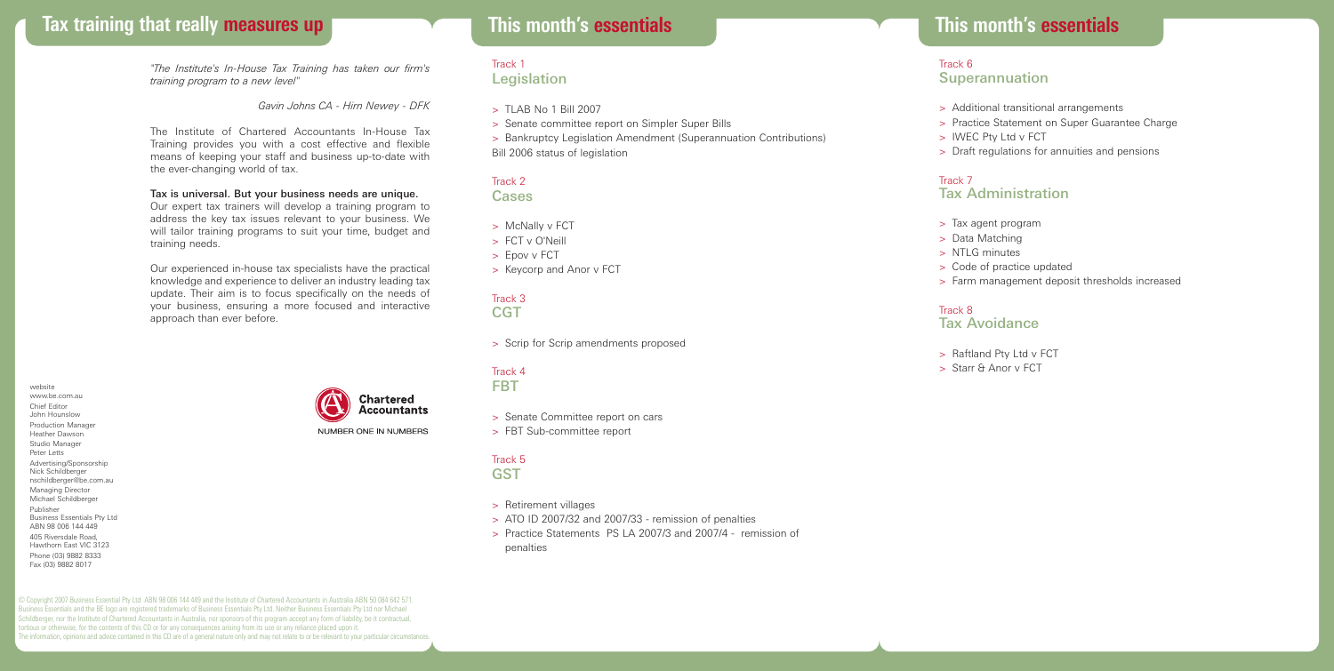# **Tax training that really measures up This month's essentials**

*"The Institute's In-House Tax Training has taken our firm's training program to a new level"*

*Gavin Johns CA - Hirn Newey - DFK*

The Institute of Chartered Accountants In-House Tax Training provides you with a cost effective and flexible means of keeping your staff and business up-to-date with the ever-changing world of tax.

### Tax is universal. But your business needs are unique.

Our expert tax trainers will develop a training program to address the key tax issues relevant to your business. We will tailor training programs to suit your time, budget and training needs.

Our experienced in-house tax specialists have the practical knowledge and experience to deliver an industry leading tax update. Their aim is to focus specifically on the needs of your business, ensuring a more focused and interactive approach than ever before.

website www.be.com.au Chief Editor John Hounslow Production Manager Heather Dawson Studio Manager Peter Letts Advertising/Sponsorship Nick Schildberger nschildberger@be.com.au Managing Director Michael Schildberger Publisher Business Essentials Pty Ltd ABN 98 006 144 449 405 Riversdale Road, Hawthorn East VIC 3123 Phone (03) 9882 8333 Fax (03) 9882 8017

© Copyright 2007 Business Essential Pty Ltd ABN 98 006 144 449 and the Institute of Chartered Accountants in Australia ABN 50 084 642 571. Business Essentials and the BE logo are registered trademarks of Business Essentials Pty Ltd. Neither Business Essentials Pty Ltd nor Michael Schildberger, nor the Institute of Chartered Accountants in Australia, nor sponsors of this program accept any form of liability, be it contractual, tortious or otherwise, for the contents of this CD or for any consequences arising from its use or any reliance placed upon it. The information, opinions and advice contained in this CD are of a general nature only and may not relate to or be relevant to your particular circumstances.

# **This month's essentials**

#### Track 1 **Legislation**

- $>$  TLAB No 1 Bill 2007
- > Senate committee report on Simpler Super Bills
- > Bankruptcy Legislation Amendment (Superannuation Contributions) Bill 2006 status of legislation

## Track 2

Cases

- > McNally v FCT
- > FCT v O'Neill
- > Epov v FCT
- > Keycorp and Anor v FCT

#### Track 3 **CGT**

> Scrip for Scrip amendments proposed

#### Track 4 FBT

> Senate Committee report on cars

> FBT Sub-committee report

#### Track 5 **GST**

- > Retirement villages
- > ATO ID 2007/32 and 2007/33 remission of penalties
- > Practice Statements PS LA 2007/3 and 2007/4 remission of penalties

#### Track 6 Superannuation

- > Additional transitional arrangements
- > Practice Statement on Super Guarantee Charge
- > IWEC Pty Ltd v FCT
- > Draft regulations for annuities and pensions

#### Track 7

## Tax Administration

- > Tax agent program
- > Data Matching
- > NTLG minutes
- > Code of practice updated
- > Farm management deposit thresholds increased

## Track 8

## Tax Avoidance

> Raftland Pty Ltd v FCT > Starr & Anor v FCT